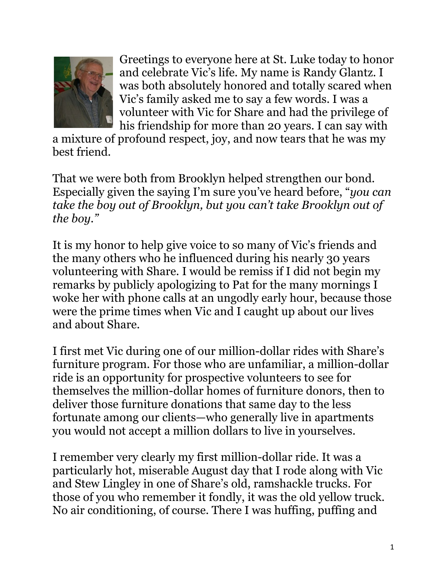

Greetings to everyone here at St. Luke today to honor and celebrate Vic's life. My name is Randy Glantz. I was both absolutely honored and totally scared when Vic's family asked me to say a few words. I was a volunteer with Vic for Share and had the privilege of his friendship for more than 20 years. I can say with

a mixture of profound respect, joy, and now tears that he was my best friend.

That we were both from Brooklyn helped strengthen our bond. Especially given the saying I'm sure you've heard before, "*you can take the boy out of Brooklyn, but you can't take Brooklyn out of the boy."*

It is my honor to help give voice to so many of Vic's friends and the many others who he influenced during his nearly 30 years volunteering with Share. I would be remiss if I did not begin my remarks by publicly apologizing to Pat for the many mornings I woke her with phone calls at an ungodly early hour, because those were the prime times when Vic and I caught up about our lives and about Share.

I first met Vic during one of our million-dollar rides with Share's furniture program. For those who are unfamiliar, a million-dollar ride is an opportunity for prospective volunteers to see for themselves the million-dollar homes of furniture donors, then to deliver those furniture donations that same day to the less fortunate among our clients—who generally live in apartments you would not accept a million dollars to live in yourselves.

I remember very clearly my first million-dollar ride. It was a particularly hot, miserable August day that I rode along with Vic and Stew Lingley in one of Share's old, ramshackle trucks. For those of you who remember it fondly, it was the old yellow truck. No air conditioning, of course. There I was huffing, puffing and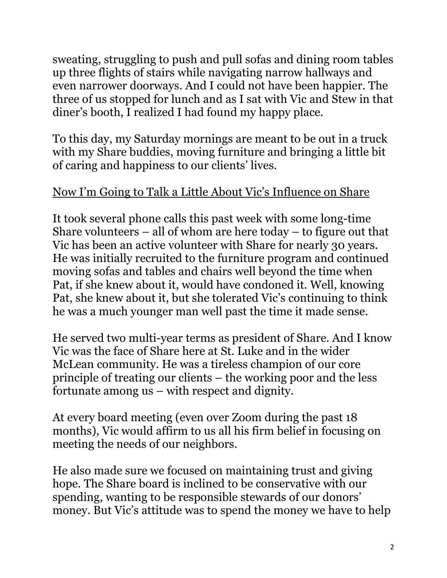sweating, struggling to push and pull sofas and dining room tables up three flights of stairs while navigating narrow hallways and even narrower doorways. And I could not have been happier. The three of us stopped for lunch and as I sat with Vic and Stew in that diner's booth, I realized I had found my happy place.

To this day, my Saturday mornings are meant to be out in a truck with my Share buddies, moving furniture and bringing a little bit of caring and happiness to our clients' lives.

# Now I'm Going to Talk a Little About Vic's Influence on Share

It took several phone calls this past week with some long-time Share volunteers – all of whom are here today – to figure out that Vic has been an active volunteer with Share for nearly 30 years. He was initially recruited to the furniture program and continued moving sofas and tables and chairs well beyond the time when Pat, if she knew about it, would have condoned it. Well, knowing Pat, she knew about it, but she tolerated Vic's continuing to think he was a much younger man well past the time it made sense.

He served two multi-year terms as president of Share. And I know Vic was the face of Share here at St. Luke and in the wider McLean community. He was a tireless champion of our core principle of treating our clients – the working poor and the less fortunate among us – with respect and dignity.

At every board meeting (even over Zoom during the past 18 months), Vic would affirm to us all his firm belief in focusing on meeting the needs of our neighbors.

He also made sure we focused on maintaining trust and giving hope. The Share board is inclined to be conservative with our spending, wanting to be responsible stewards of our donors' money. But Vic's attitude was to spend the money we have to help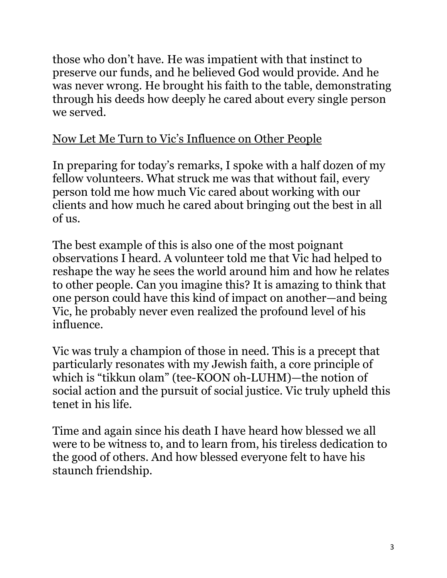those who don't have. He was impatient with that instinct to preserve our funds, and he believed God would provide. And he was never wrong. He brought his faith to the table, demonstrating through his deeds how deeply he cared about every single person we served.

#### Now Let Me Turn to Vic's Influence on Other People

In preparing for today's remarks, I spoke with a half dozen of my fellow volunteers. What struck me was that without fail, every person told me how much Vic cared about working with our clients and how much he cared about bringing out the best in all of us.

The best example of this is also one of the most poignant observations I heard. A volunteer told me that Vic had helped to reshape the way he sees the world around him and how he relates to other people. Can you imagine this? It is amazing to think that one person could have this kind of impact on another—and being Vic, he probably never even realized the profound level of his influence.

Vic was truly a champion of those in need. This is a precept that particularly resonates with my Jewish faith, a core principle of which is "tikkun olam" (tee-KOON oh-LUHM)—the notion of social action and the pursuit of social justice. Vic truly upheld this tenet in his life.

Time and again since his death I have heard how blessed we all were to be witness to, and to learn from, his tireless dedication to the good of others. And how blessed everyone felt to have his staunch friendship.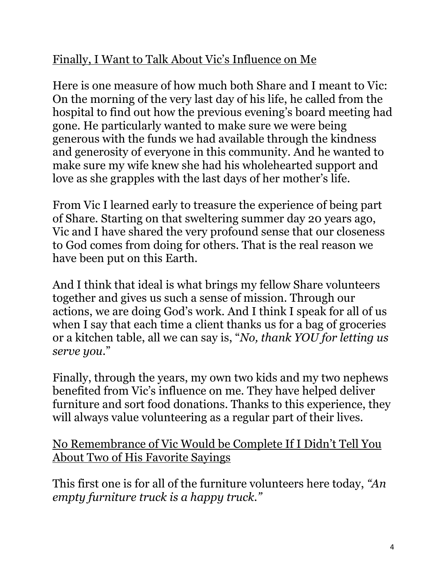# Finally, I Want to Talk About Vic's Influence on Me

Here is one measure of how much both Share and I meant to Vic: On the morning of the very last day of his life, he called from the hospital to find out how the previous evening's board meeting had gone. He particularly wanted to make sure we were being generous with the funds we had available through the kindness and generosity of everyone in this community. And he wanted to make sure my wife knew she had his wholehearted support and love as she grapples with the last days of her mother's life.

From Vic I learned early to treasure the experience of being part of Share. Starting on that sweltering summer day 20 years ago, Vic and I have shared the very profound sense that our closeness to God comes from doing for others. That is the real reason we have been put on this Earth.

And I think that ideal is what brings my fellow Share volunteers together and gives us such a sense of mission. Through our actions, we are doing God's work. And I think I speak for all of us when I say that each time a client thanks us for a bag of groceries or a kitchen table, all we can say is, "*No, thank YOU for letting us serve you*."

Finally, through the years, my own two kids and my two nephews benefited from Vic's influence on me. They have helped deliver furniture and sort food donations. Thanks to this experience, they will always value volunteering as a regular part of their lives.

# No Remembrance of Vic Would be Complete If I Didn't Tell You About Two of His Favorite Sayings

This first one is for all of the furniture volunteers here today, *"An empty furniture truck is a happy truck."*